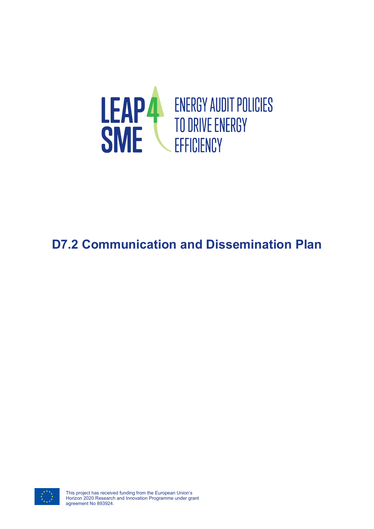

# **D7.2 Communication and Dissemination Plan**

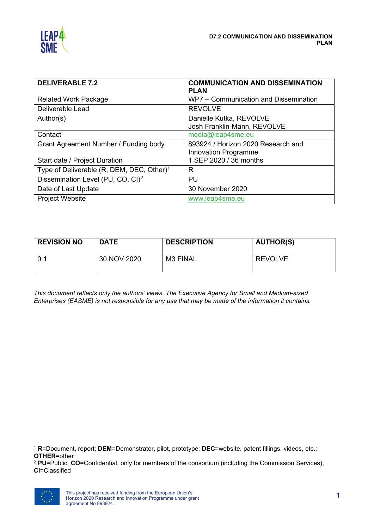

| <b>DELIVERABLE 7.2</b>                                | <b>COMMUNICATION AND DISSEMINATION</b> |
|-------------------------------------------------------|----------------------------------------|
|                                                       | <b>PLAN</b>                            |
| <b>Related Work Package</b>                           | WP7 - Communication and Dissemination  |
| Deliverable Lead                                      | <b>REVOLVE</b>                         |
| Author(s)                                             | Danielle Kutka, REVOLVE                |
|                                                       | Josh Franklin-Mann, REVOLVE            |
| Contact                                               | media@leap4sme.eu                      |
| Grant Agreement Number / Funding body                 | 893924 / Horizon 2020 Research and     |
|                                                       | <b>Innovation Programme</b>            |
| Start date / Project Duration                         | 1 SEP 2020 / 36 months                 |
| Type of Deliverable (R, DEM, DEC, Other) <sup>1</sup> | R                                      |
| Dissemination Level (PU, CO, CI) <sup>2</sup>         | PU                                     |
| Date of Last Update                                   | 30 November 2020                       |
| <b>Project Website</b>                                | www.leap4sme.eu                        |

| <b>REVISION NO</b> | <b>DATE</b> | <b>DESCRIPTION</b> | <b>AUTHOR(S)</b> |
|--------------------|-------------|--------------------|------------------|
|                    | 30 NOV 2020 | M3 FINAL           | <b>REVOLVE</b>   |

*This document reflects only the authors' views. The Executive Agency for Small and Medium-sized Enterprises (EASME) is not responsible for any use that may be made of the information it contains.*

<span id="page-1-1"></span><sup>2</sup> **PU**=Public, **CO**=Confidential, only for members of the consortium (including the Commission Services), **CI**=Classified



<span id="page-1-0"></span><sup>1</sup> **R**=Document, report; **DEM**=Demonstrator, pilot, prototype; **DEC**=website, patent fillings, videos, etc.; **OTHER**=other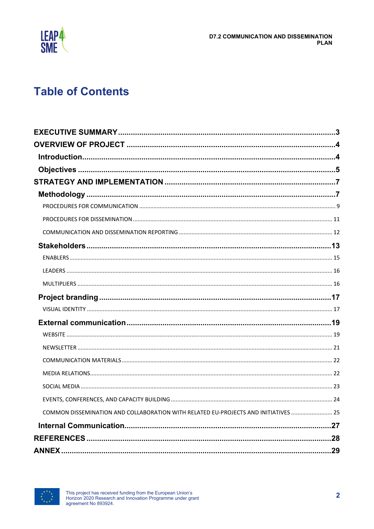

# **Table of Contents**

| COMMON DISSEMINATION AND COLLABORATION WITH RELATED EU-PROJECTS AND INITIATIVES  25 |  |
|-------------------------------------------------------------------------------------|--|
|                                                                                     |  |
|                                                                                     |  |
|                                                                                     |  |
|                                                                                     |  |

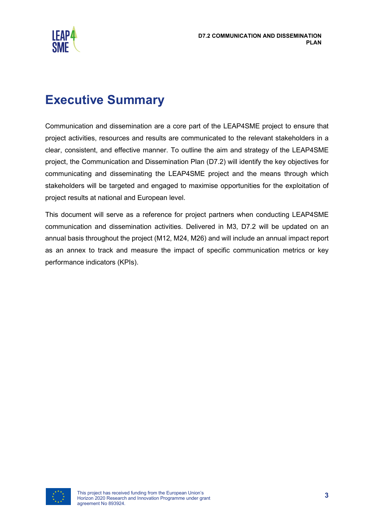

# <span id="page-3-0"></span>**Executive Summary**

Communication and dissemination are a core part of the LEAP4SME project to ensure that project activities, resources and results are communicated to the relevant stakeholders in a clear, consistent, and effective manner. To outline the aim and strategy of the LEAP4SME project, the Communication and Dissemination Plan (D7.2) will identify the key objectives for communicating and disseminating the LEAP4SME project and the means through which stakeholders will be targeted and engaged to maximise opportunities for the exploitation of project results at national and European level.

This document will serve as a reference for project partners when conducting LEAP4SME communication and dissemination activities. Delivered in M3, D7.2 will be updated on an annual basis throughout the project (M12, M24, M26) and will include an annual impact report as an annex to track and measure the impact of specific communication metrics or key performance indicators (KPIs).

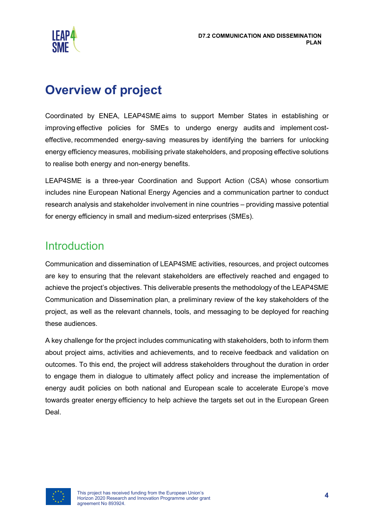

# <span id="page-4-0"></span>**Overview of project**

Coordinated by ENEA, LEAP4SME aims to support Member States in establishing or improving effective policies for SMEs to undergo energy audits and implement costeffective, recommended energy-saving measures by identifying the barriers for unlocking energy efficiency measures, mobilising private stakeholders, and proposing effective solutions to realise both energy and non-energy benefits.

LEAP4SME is a three-year Coordination and Support Action (CSA) whose consortium includes nine European National Energy Agencies and a communication partner to conduct research analysis and stakeholder involvement in nine countries – providing massive potential for energy efficiency in small and medium-sized enterprises (SMEs). 

## <span id="page-4-1"></span>**Introduction**

Communication and dissemination of LEAP4SME activities, resources, and project outcomes are key to ensuring that the relevant stakeholders are effectively reached and engaged to achieve the project's objectives. This deliverable presents the methodology of the LEAP4SME Communication and Dissemination plan, a preliminary review of the key stakeholders of the project, as well as the relevant channels, tools, and messaging to be deployed for reaching these audiences.

A key challenge for the project includes communicating with stakeholders, both to inform them about project aims, activities and achievements, and to receive feedback and validation on outcomes. To this end, the project will address stakeholders throughout the duration in order to engage them in dialogue to ultimately affect policy and increase the implementation of energy audit policies on both national and European scale to accelerate Europe's move towards greater energy efficiency to help achieve the targets set out in the European Green Deal.

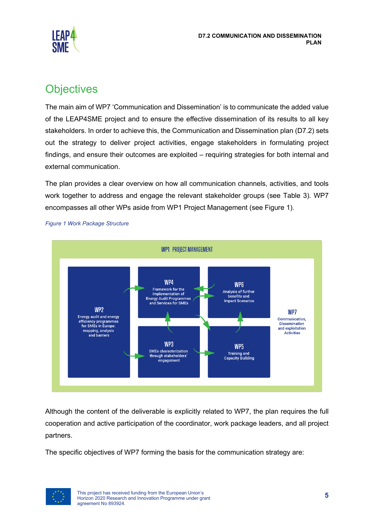

## <span id="page-5-0"></span>**Objectives**

The main aim of WP7 'Communication and Dissemination' is to communicate the added value of the LEAP4SME project and to ensure the effective dissemination of its results to all key stakeholders. In order to achieve this, the Communication and Dissemination plan (D7.2) sets out the strategy to deliver project activities, engage stakeholders in formulating project findings, and ensure their outcomes are exploited – requiring strategies for both internal and external communication.

The plan provides a clear overview on how all communication channels, activities, and tools work together to address and engage the relevant stakeholder groups (see Table 3). WP7 encompasses all other WPs aside from WP1 Project Management (see Figure 1).



*Figure 1 Work Package Structure*

Although the content of the deliverable is explicitly related to WP7, the plan requires the full cooperation and active participation of the coordinator, work package leaders, and all project partners.

The specific objectives of WP7 forming the basis for the communication strategy are:

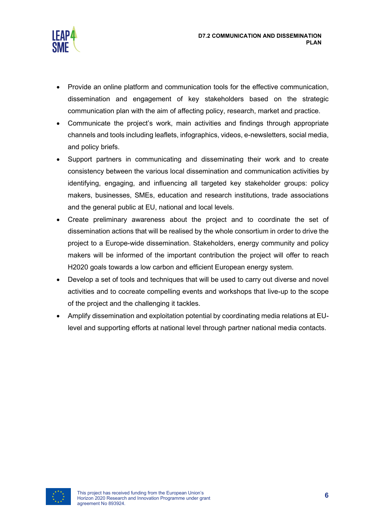

- Provide an online platform and communication tools for the effective communication, dissemination and engagement of key stakeholders based on the strategic communication plan with the aim of affecting policy, research, market and practice.
- Communicate the project's work, main activities and findings through appropriate channels and tools including leaflets, infographics, videos, e-newsletters, social media, and policy briefs.
- Support partners in communicating and disseminating their work and to create consistency between the various local dissemination and communication activities by identifying, engaging, and influencing all targeted key stakeholder groups: policy makers, businesses, SMEs, education and research institutions, trade associations and the general public at EU, national and local levels.
- Create preliminary awareness about the project and to coordinate the set of dissemination actions that will be realised by the whole consortium in order to drive the project to a Europe-wide dissemination. Stakeholders, energy community and policy makers will be informed of the important contribution the project will offer to reach H2020 goals towards a low carbon and efficient European energy system.
- Develop a set of tools and techniques that will be used to carry out diverse and novel activities and to cocreate compelling events and workshops that live-up to the scope of the project and the challenging it tackles.
- Amplify dissemination and exploitation potential by coordinating media relations at EUlevel and supporting efforts at national level through partner national media contacts.

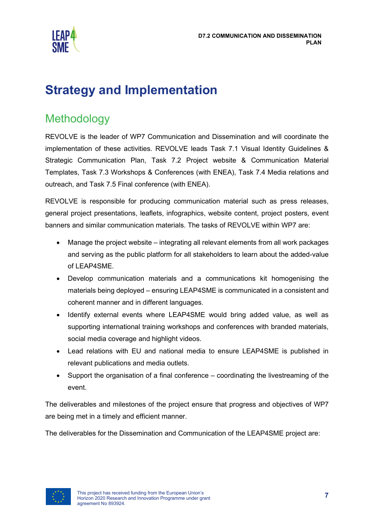

# <span id="page-7-0"></span>**Strategy and Implementation**

## <span id="page-7-1"></span>Methodology

REVOLVE is the leader of WP7 Communication and Dissemination and will coordinate the implementation of these activities. REVOLVE leads Task 7.1 Visual Identity Guidelines & Strategic Communication Plan, Task 7.2 Project website & Communication Material Templates, Task 7.3 Workshops & Conferences (with ENEA), Task 7.4 Media relations and outreach, and Task 7.5 Final conference (with ENEA).

REVOLVE is responsible for producing communication material such as press releases, general project presentations, leaflets, infographics, website content, project posters, event banners and similar communication materials. The tasks of REVOLVE within WP7 are:

- Manage the project website integrating all relevant elements from all work packages and serving as the public platform for all stakeholders to learn about the added-value of LEAP4SME.
- Develop communication materials and a communications kit homogenising the materials being deployed – ensuring LEAP4SME is communicated in a consistent and coherent manner and in different languages.
- Identify external events where LEAP4SME would bring added value, as well as supporting international training workshops and conferences with branded materials, social media coverage and highlight videos.
- Lead relations with EU and national media to ensure LEAP4SME is published in relevant publications and media outlets.
- Support the organisation of a final conference coordinating the livestreaming of the event.

The deliverables and milestones of the project ensure that progress and objectives of WP7 are being met in a timely and efficient manner.

The deliverables for the Dissemination and Communication of the LEAP4SME project are:

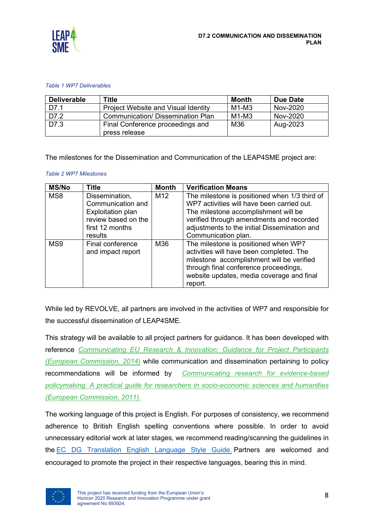

#### *Table 1 WP7 Deliverables*

| <b>Deliverable</b> | <b>Title</b>                               | <b>Month</b> | <b>Due Date</b> |
|--------------------|--------------------------------------------|--------------|-----------------|
| D7.1               | <b>Project Website and Visual Identity</b> | $M1-M3$      | Nov-2020        |
| D7.2               | <b>Communication/ Dissemination Plan</b>   | $M1-M3$      | Nov-2020        |
| D7.3               | Final Conference proceedings and           | M36          | Aug-2023        |
|                    | press release                              |              |                 |

The milestones for the Dissemination and Communication of the LEAP4SME project are:

#### *Table 2 WP7 Milestones*

| <b>MS/No</b> | <b>Title</b>                                                                                                         | <b>Month</b>    | <b>Verification Means</b>                                                                                                                                                                                                                              |
|--------------|----------------------------------------------------------------------------------------------------------------------|-----------------|--------------------------------------------------------------------------------------------------------------------------------------------------------------------------------------------------------------------------------------------------------|
| MS8          | Dissemination,<br>Communication and<br><b>Exploitation plan</b><br>review based on the<br>first 12 months<br>results | M <sub>12</sub> | The milestone is positioned when 1/3 third of<br>WP7 activities will have been carried out.<br>The milestone accomplishment will be<br>verified through amendments and recorded<br>adjustments to the initial Dissemination and<br>Communication plan. |
| MS9          | Final conference<br>and impact report                                                                                | M36             | The milestone is positioned when WP7<br>activities will have been completed. The<br>milestone accomplishment will be verified<br>through final conference proceedings,<br>website updates, media coverage and final<br>report.                         |

While led by REVOLVE, all partners are involved in the activities of WP7 and responsible for the successful dissemination of LEAP4SME.

This strategy will be available to all project partners for guidance. It has been developed with reference *[Communicating EU Research & Innovation: Guidance for Project Participants](https://ec.europa.eu/research/participants/data/ref/h2020/other/gm/h2020-guide-comm_en.pdf)  [\(European Commission, 2014\)](https://ec.europa.eu/research/participants/data/ref/h2020/other/gm/h2020-guide-comm_en.pdf)* while communication and dissemination pertaining to policy recommendations will be informed by *[Communicating research for evidence-based](https://op.europa.eu/en/publication-detail/-/publication/579cb7ba-821f-4967-b3a2-d87556a0bcfe)  [policymaking. A practical guide for researchers in socio-economic sciences and humanities](https://op.europa.eu/en/publication-detail/-/publication/579cb7ba-821f-4967-b3a2-d87556a0bcfe)  [\(European Commission, 2011\)](https://op.europa.eu/en/publication-detail/-/publication/579cb7ba-821f-4967-b3a2-d87556a0bcfe)*.

The working language of this project is English. For purposes of consistency, we recommend adherence to British English spelling conventions where possible. In order to avoid unnecessary editorial work at later stages, we recommend reading/scanning the guidelines in the [EC DG Translation English Language Style Guide.](https://ec.europa.eu/info/sites/info/files/styleguide_english_dgt_en.pdf) Partners are welcomed and encouraged to promote the project in their respective languages, bearing this in mind.

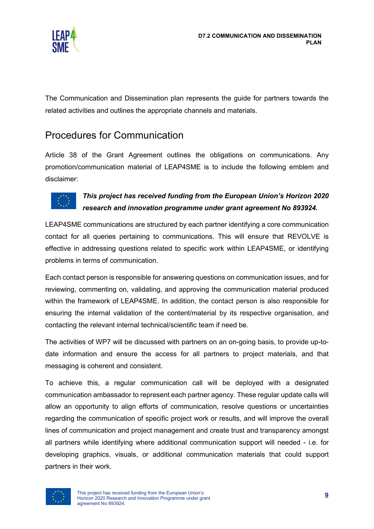

The Communication and Dissemination plan represents the guide for partners towards the related activities and outlines the appropriate channels and materials.

## <span id="page-9-0"></span>Procedures for Communication

Article 38 of the Grant Agreement outlines the obligations on communications. Any promotion/communication material of LEAP4SME is to include the following emblem and disclaimer:



#### *This project has received funding from the European Union's Horizon 2020 research and innovation programme under grant agreement No 893924.*

LEAP4SME communications are structured by each partner identifying a core communication contact for all queries pertaining to communications. This will ensure that REVOLVE is effective in addressing questions related to specific work within LEAP4SME, or identifying problems in terms of communication.

Each contact person is responsible for answering questions on communication issues, and for reviewing, commenting on, validating, and approving the communication material produced within the framework of LEAP4SME. In addition, the contact person is also responsible for ensuring the internal validation of the content/material by its respective organisation, and contacting the relevant internal technical/scientific team if need be.

The activities of WP7 will be discussed with partners on an on-going basis, to provide up-todate information and ensure the access for all partners to project materials, and that messaging is coherent and consistent.

To achieve this, a regular communication call will be deployed with a designated communication ambassador to represent each partner agency. These regular update calls will allow an opportunity to align efforts of communication, resolve questions or uncertainties regarding the communication of specific project work or results, and will improve the overall lines of communication and project management and create trust and transparency amongst all partners while identifying where additional communication support will needed - i.e. for developing graphics, visuals, or additional communication materials that could support partners in their work.

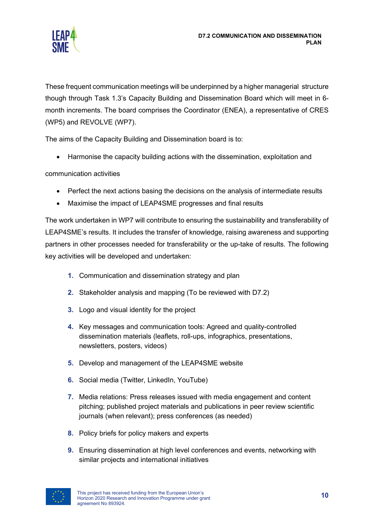

These frequent communication meetings will be underpinned by a higher managerial structure though through Task 1.3's Capacity Building and Dissemination Board which will meet in 6 month increments. The board comprises the Coordinator (ENEA), a representative of CRES (WP5) and REVOLVE (WP7).

The aims of the Capacity Building and Dissemination board is to:

• Harmonise the capacity building actions with the dissemination, exploitation and

communication activities

- Perfect the next actions basing the decisions on the analysis of intermediate results
- Maximise the impact of LEAP4SME progresses and final results

The work undertaken in WP7 will contribute to ensuring the sustainability and transferability of LEAP4SME's results. It includes the transfer of knowledge, raising awareness and supporting partners in other processes needed for transferability or the up-take of results. The following key activities will be developed and undertaken:

- **1.** Communication and dissemination strategy and plan
- **2.** Stakeholder analysis and mapping (To be reviewed with D7.2)
- **3.** Logo and visual identity for the project
- **4.** Key messages and communication tools: Agreed and quality-controlled dissemination materials (leaflets, roll-ups, infographics, presentations, newsletters, posters, videos)
- **5.** Develop and management of the LEAP4SME website
- **6.** Social media (Twitter, LinkedIn, YouTube)
- **7.** Media relations: Press releases issued with media engagement and content pitching; published project materials and publications in peer review scientific journals (when relevant); press conferences (as needed)
- **8.** Policy briefs for policy makers and experts
- **9.** Ensuring dissemination at high level conferences and events, networking with similar projects and international initiatives

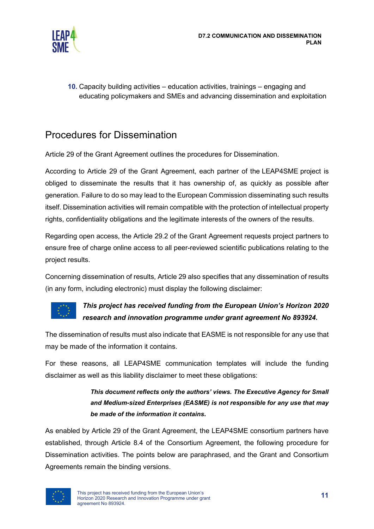

**10.** Capacity building activities – education activities, trainings – engaging and educating policymakers and SMEs and advancing dissemination and exploitation

## <span id="page-11-0"></span>Procedures for Dissemination

Article 29 of the Grant Agreement outlines the procedures for Dissemination.

According to Article 29 of the Grant Agreement, each partner of the LEAP4SME project is obliged to disseminate the results that it has ownership of, as quickly as possible after generation. Failure to do so may lead to the European Commission disseminating such results itself. Dissemination activities will remain compatible with the protection of intellectual property rights, confidentiality obligations and the legitimate interests of the owners of the results.

Regarding open access, the Article 29.2 of the Grant Agreement requests project partners to ensure free of charge online access to all peer-reviewed scientific publications relating to the project results.

Concerning dissemination of results, Article 29 also specifies that any dissemination of results (in any form, including electronic) must display the following disclaimer:



#### *This project has received funding from the European Union's Horizon 2020 research and innovation programme under grant agreement No 893924.*

The dissemination of results must also indicate that EASME is not responsible for any use that may be made of the information it contains.

For these reasons, all LEAP4SME communication templates will include the funding disclaimer as well as this liability disclaimer to meet these obligations:

#### *This document reflects only the authors' views. The Executive Agency for Small and Medium-sized Enterprises (EASME) is not responsible for any use that may be made of the information it contains***.**

As enabled by Article 29 of the Grant Agreement, the LEAP4SME consortium partners have established, through Article 8.4 of the Consortium Agreement, the following procedure for Dissemination activities. The points below are paraphrased, and the Grant and Consortium Agreements remain the binding versions.

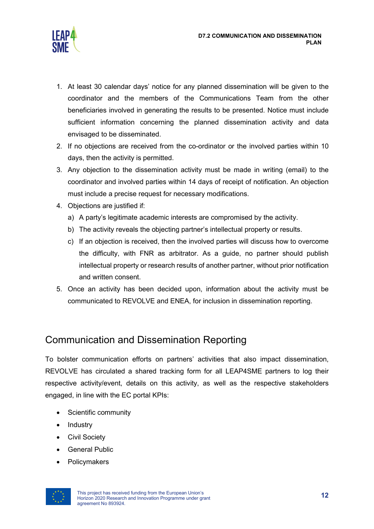

- 1. At least 30 calendar days' notice for any planned dissemination will be given to the coordinator and the members of the Communications Team from the other beneficiaries involved in generating the results to be presented. Notice must include sufficient information concerning the planned dissemination activity and data envisaged to be disseminated.
- 2. If no objections are received from the co-ordinator or the involved parties within 10 days, then the activity is permitted.
- 3. Any objection to the dissemination activity must be made in writing (email) to the coordinator and involved parties within 14 days of receipt of notification. An objection must include a precise request for necessary modifications.
- 4. Objections are justified if:
	- a) A party's legitimate academic interests are compromised by the activity.
	- b) The activity reveals the objecting partner's intellectual property or results.
	- c) If an objection is received, then the involved parties will discuss how to overcome the difficulty, with FNR as arbitrator. As a guide, no partner should publish intellectual property or research results of another partner, without prior notification and written consent.
- 5. Once an activity has been decided upon, information about the activity must be communicated to REVOLVE and ENEA, for inclusion in dissemination reporting.

## <span id="page-12-0"></span>Communication and Dissemination Reporting

To bolster communication efforts on partners' activities that also impact dissemination, REVOLVE has circulated a shared tracking form for all LEAP4SME partners to log their respective activity/event, details on this activity, as well as the respective stakeholders engaged, in line with the EC portal KPIs:

- Scientific community
- **Industry**
- Civil Society
- General Public
- Policymakers

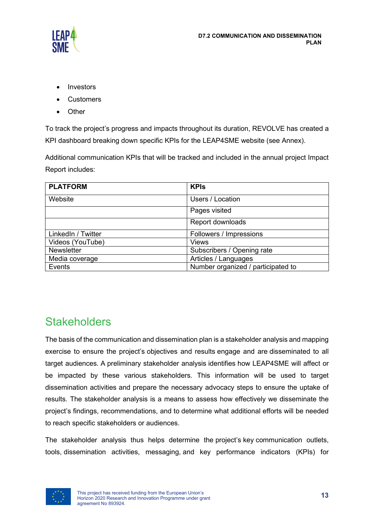

- Investors
- Customers
- Other

To track the project's progress and impacts throughout its duration, REVOLVE has created a KPI dashboard breaking down specific KPIs for the LEAP4SME website (see Annex).

Additional communication KPIs that will be tracked and included in the annual project Impact Report includes:

| <b>PLATFORM</b>    | <b>KPIs</b>                        |
|--------------------|------------------------------------|
| Website            | Users / Location                   |
|                    | Pages visited                      |
|                    | Report downloads                   |
| LinkedIn / Twitter | Followers / Impressions            |
| Videos (YouTube)   | <b>Views</b>                       |
| <b>Newsletter</b>  | Subscribers / Opening rate         |
| Media coverage     | Articles / Languages               |
| Events             | Number organized / participated to |

## <span id="page-13-0"></span>**Stakeholders**

The basis of the communication and dissemination plan is a stakeholder analysis and mapping exercise to ensure the project's objectives and results engage and are disseminated to all target audiences. A preliminary stakeholder analysis identifies how LEAP4SME will affect or be impacted by these various stakeholders. This information will be used to target dissemination activities and prepare the necessary advocacy steps to ensure the uptake of results. The stakeholder analysis is a means to assess how effectively we disseminate the project's findings, recommendations, and to determine what additional efforts will be needed to reach specific stakeholders or audiences.

The stakeholder analysis thus helps determine the project's key communication outlets, tools, dissemination activities, messaging, and key performance indicators (KPIs) for

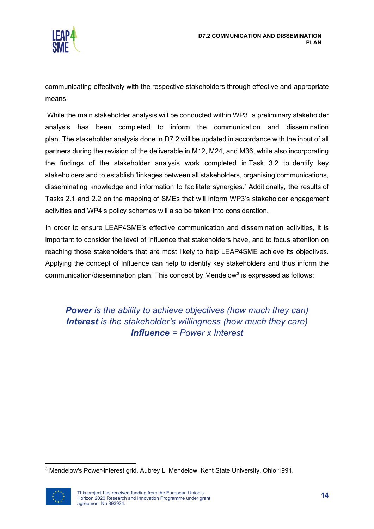

communicating effectively with the respective stakeholders through effective and appropriate means.

While the main stakeholder analysis will be conducted within WP3, a preliminary stakeholder analysis has been completed to inform the communication and dissemination plan. The stakeholder analysis done in D7.2 will be updated in accordance with the input of all partners during the revision of the deliverable in M12, M24, and M36, while also incorporating the findings of the stakeholder analysis work completed in Task 3.2 to identify key stakeholders and to establish 'linkages between all stakeholders, organising communications, disseminating knowledge and information to facilitate synergies.' Additionally, the results of Tasks 2.1 and 2.2 on the mapping of SMEs that will inform WP3's stakeholder engagement activities and WP4's policy schemes will also be taken into consideration.

In order to ensure LEAP4SME's effective communication and dissemination activities, it is important to consider the level of influence that stakeholders have, and to focus attention on reaching those stakeholders that are most likely to help LEAP4SME achieve its objectives. Applying the concept of Influence can help to identify key stakeholders and thus inform the communication/dissemination plan. This concept by Mendelow<sup>[3](#page-14-0)</sup> is expressed as follows:

*Power is the ability to achieve objectives (how much they can) Interest is the stakeholder's willingness (how much they care) Influence = Power x Interest*

<span id="page-14-0"></span><sup>3</sup> Mendelow's Power-interest grid. Aubrey L. Mendelow, Kent State University, Ohio 1991.

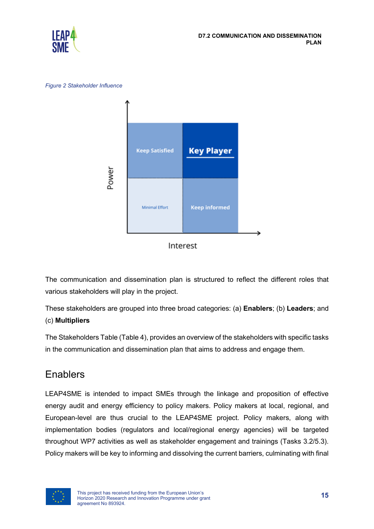

*Figure 2 Stakeholder Influence*



Interest

The communication and dissemination plan is structured to reflect the different roles that various stakeholders will play in the project.

These stakeholders are grouped into three broad categories: (a) **Enablers**; (b) **Leaders**; and (c) **Multipliers**

The Stakeholders Table (Table 4), provides an overview of the stakeholders with specific tasks in the communication and dissemination plan that aims to address and engage them.

## <span id="page-15-0"></span>**Enablers**

LEAP4SME is intended to impact SMEs through the linkage and proposition of effective energy audit and energy efficiency to policy makers. Policy makers at local, regional, and European-level are thus crucial to the LEAP4SME project. Policy makers, along with implementation bodies (regulators and local/regional energy agencies) will be targeted throughout WP7 activities as well as stakeholder engagement and trainings (Tasks 3.2/5.3). Policy makers will be key to informing and dissolving the current barriers, culminating with final

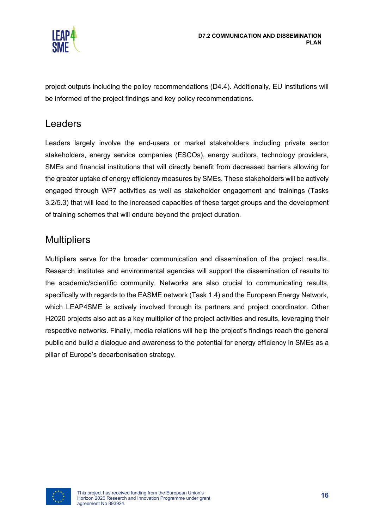

project outputs including the policy recommendations (D4.4). Additionally, EU institutions will be informed of the project findings and key policy recommendations.

### <span id="page-16-0"></span>Leaders

Leaders largely involve the end-users or market stakeholders including private sector stakeholders, energy service companies (ESCOs), energy auditors, technology providers, SMEs and financial institutions that will directly benefit from decreased barriers allowing for the greater uptake of energy efficiency measures by SMEs. These stakeholders will be actively engaged through WP7 activities as well as stakeholder engagement and trainings (Tasks 3.2/5.3) that will lead to the increased capacities of these target groups and the development of training schemes that will endure beyond the project duration.

### <span id="page-16-1"></span>**Multipliers**

Multipliers serve for the broader communication and dissemination of the project results. Research institutes and environmental agencies will support the dissemination of results to the academic/scientific community. Networks are also crucial to communicating results, specifically with regards to the EASME network (Task 1.4) and the European Energy Network, which LEAP4SME is actively involved through its partners and project coordinator. Other H2020 projects also act as a key multiplier of the project activities and results, leveraging their respective networks. Finally, media relations will help the project's findings reach the general public and build a dialogue and awareness to the potential for energy efficiency in SMEs as a pillar of Europe's decarbonisation strategy.

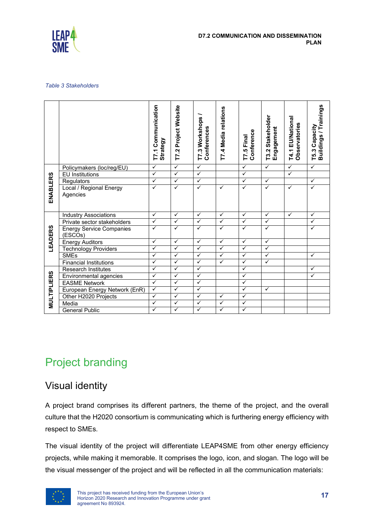

#### *Table 3 Stakeholders*

|                                                                                                                                                                                                                  |                                            | T7.1 Communication<br>Strategy | T7.2 Project Website | T7.3 Workshops<br>Conferences | T7.4 Media relations | Conference<br>T7.5 Final | T3.2 Stakeholder<br>Engagement | T4.1 EU/National<br>Observatories | T5.3 Capacity<br>Buildings / Trainings |
|------------------------------------------------------------------------------------------------------------------------------------------------------------------------------------------------------------------|--------------------------------------------|--------------------------------|----------------------|-------------------------------|----------------------|--------------------------|--------------------------------|-----------------------------------|----------------------------------------|
|                                                                                                                                                                                                                  | Policymakers (loc/reg/EU)                  | ✓                              | $\checkmark$         | $\checkmark$                  |                      | ✓                        | $\checkmark$                   | ✓                                 | $\checkmark$                           |
|                                                                                                                                                                                                                  | <b>EU</b> Institutions                     | ✓                              | $\checkmark$         | ✓                             |                      | $\checkmark$             |                                | $\checkmark$                      |                                        |
|                                                                                                                                                                                                                  | Regulators                                 | ✓                              | ✓                    | ✓                             |                      | ✓                        | ✓                              |                                   | ✓                                      |
| <b>ENABLERS</b>                                                                                                                                                                                                  | Local / Regional Energy<br>Agencies        | ✓                              | ✓                    | ✓                             | ✓                    | ✓                        | ✓                              | ✓                                 | $\checkmark$                           |
|                                                                                                                                                                                                                  | <b>Industry Associations</b>               | ✓                              | ✓                    | ✓                             | ✓                    | ✓                        | ✓                              | ✓                                 | ✓                                      |
|                                                                                                                                                                                                                  | Private sector stakeholders                | ✓                              | ✓                    | ✓                             | ✓                    | ✓                        | ✓                              |                                   | ✓                                      |
| LEADERS                                                                                                                                                                                                          | <b>Energy Service Companies</b><br>(ESCOs) | $\checkmark$                   | ✓                    | ✓                             | $\checkmark$         | ✓                        | ✓                              |                                   | $\checkmark$                           |
|                                                                                                                                                                                                                  | <b>Energy Auditors</b>                     | ✓                              | ✓                    | ✓                             | ✓                    | ✓                        | $\checkmark$                   |                                   |                                        |
|                                                                                                                                                                                                                  | <b>Technology Providers</b>                | ✓                              | ✓                    | ✓                             | ✓                    | ✓                        | ✓                              |                                   |                                        |
|                                                                                                                                                                                                                  | <b>SMEs</b>                                | $\checkmark$                   | $\checkmark$         | ✓                             | ✓                    | ✓                        | $\checkmark$                   |                                   | $\checkmark$                           |
|                                                                                                                                                                                                                  | <b>Financial Institutions</b>              | ✓                              | ✓                    | ✓                             | ✓                    | ✓                        | ✓                              |                                   |                                        |
|                                                                                                                                                                                                                  | <b>Research Institutes</b>                 | ✓                              | ✓                    | ✓                             |                      | ✓                        |                                |                                   | ✓                                      |
|                                                                                                                                                                                                                  | Environmental agencies                     | ✓                              | ✓                    | ✓                             |                      | $\checkmark$             |                                |                                   | $\checkmark$                           |
|                                                                                                                                                                                                                  | <b>EASME Network</b>                       | ✓                              | ✓                    | ✓                             |                      | ✓                        |                                |                                   |                                        |
| <b>MULTIPLIERS</b>                                                                                                                                                                                               | European Energy Network (EnR)              | ✓                              | ✓                    | ✓                             |                      | ✓                        | ✓                              |                                   |                                        |
|                                                                                                                                                                                                                  | Other H2020 Projects                       | $\checkmark$                   | ✓                    | ✓                             | $\checkmark$         | $\checkmark$             |                                |                                   |                                        |
|                                                                                                                                                                                                                  | Media                                      | ✓                              | ✓                    | ✓                             | ✓                    | ✓                        |                                |                                   |                                        |
|                                                                                                                                                                                                                  | <b>General Public</b>                      | $\checkmark$                   | $\checkmark$         | $\checkmark$                  | $\checkmark$         | $\checkmark$             |                                |                                   |                                        |
| <b>Project branding</b>                                                                                                                                                                                          |                                            |                                |                      |                               |                      |                          |                                |                                   |                                        |
| <b>Visual identity</b>                                                                                                                                                                                           |                                            |                                |                      |                               |                      |                          |                                |                                   |                                        |
| A project brand comprises its different partners, the theme of the project, and the overall<br>culture that the H2020 consortium is communicating which is furthering energy efficiency with<br>respect to SMEs. |                                            |                                |                      |                               |                      |                          |                                |                                   |                                        |
| The visual identity of the project will differentiate LEAP4SME from other energy efficiency<br>projects, while making it memorable. It comprises the logo, icon, and slogan. The logo will be                    |                                            |                                |                      |                               |                      |                          |                                |                                   |                                        |
| the visual messenger of the project and will be reflected in all the communication materials:                                                                                                                    |                                            |                                |                      |                               |                      |                          |                                |                                   |                                        |

# <span id="page-17-0"></span>Project branding

## <span id="page-17-1"></span>Visual identity

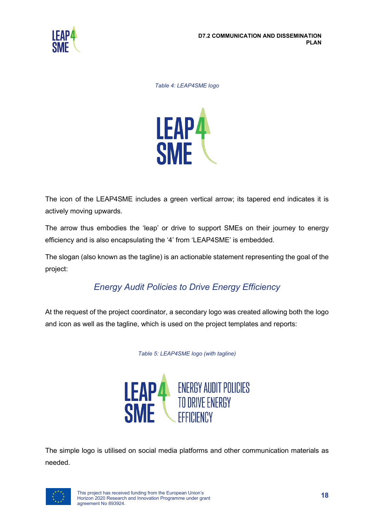

*Table 4: LEAP4SME logo*



The icon of the LEAP4SME includes a green vertical arrow; its tapered end indicates it is actively moving upwards.

The arrow thus embodies the 'leap' or drive to support SMEs on their journey to energy efficiency and is also encapsulating the '4' from 'LEAP4SME' is embedded.

The slogan (also known as the tagline) is an actionable statement representing the goal of the project:

### *Energy Audit Policies to Drive Energy Efficiency*

At the request of the project coordinator, a secondary logo was created allowing both the logo and icon as well as the tagline, which is used on the project templates and reports:

*Table 5: LEAP4SME logo (with tagline)*



The simple logo is utilised on social media platforms and other communication materials as needed.

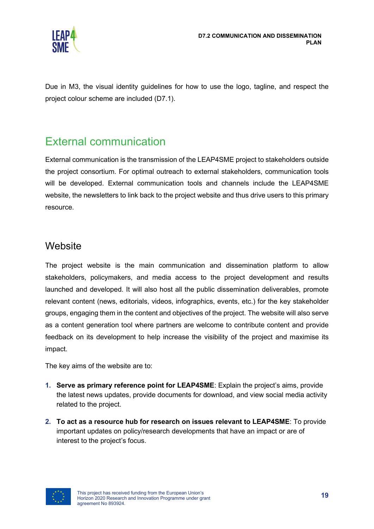

Due in M3, the visual identity guidelines for how to use the logo, tagline, and respect the project colour scheme are included (D7.1).

## <span id="page-19-0"></span>External communication

External communication is the transmission of the LEAP4SME project to stakeholders outside the project consortium. For optimal outreach to external stakeholders, communication tools will be developed. External communication tools and channels include the LEAP4SME website, the newsletters to link back to the project website and thus drive users to this primary resource.

### <span id="page-19-1"></span>**Website**

The project website is the main communication and dissemination platform to allow stakeholders, policymakers, and media access to the project development and results launched and developed. It will also host all the public dissemination deliverables, promote relevant content (news, editorials, videos, infographics, events, etc.) for the key stakeholder groups, engaging them in the content and objectives of the project. The website will also serve as a content generation tool where partners are welcome to contribute content and provide feedback on its development to help increase the visibility of the project and maximise its impact.

The key aims of the website are to:

- **1. Serve as primary reference point for LEAP4SME**: Explain the project's aims, provide the latest news updates, provide documents for download, and view social media activity related to the project.
- **2. To act as a resource hub for research on issues relevant to LEAP4SME**: To provide important updates on policy/research developments that have an impact or are of interest to the project's focus.

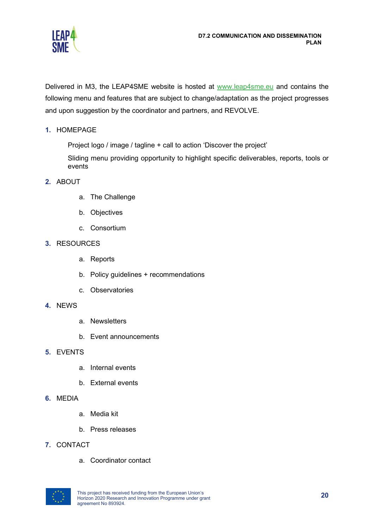

Delivered in M3, the LEAP4SME website is hosted at [www.leap4sme.eu](http://www.leap4sme.eu/) and contains the following menu and features that are subject to change/adaptation as the project progresses and upon suggestion by the coordinator and partners, and REVOLVE.

#### **1.** HOMEPAGE

Project logo / image / tagline + call to action 'Discover the project'

Sliding menu providing opportunity to highlight specific deliverables, reports, tools or events

#### **2.** ABOUT

- a. The Challenge
- b. Objectives
- c. Consortium

#### **3.** RESOURCES

- a. Reports
- b. Policy guidelines + recommendations
- c. Observatories
- **4.** NEWS
	- a. Newsletters
	- b. Event announcements
- **5.** EVENTS
	- a. Internal events
	- b. External events
- **6.** MEDIA
	- a. Media kit
	- b. Press releases

#### **7.** CONTACT

a. Coordinator contact

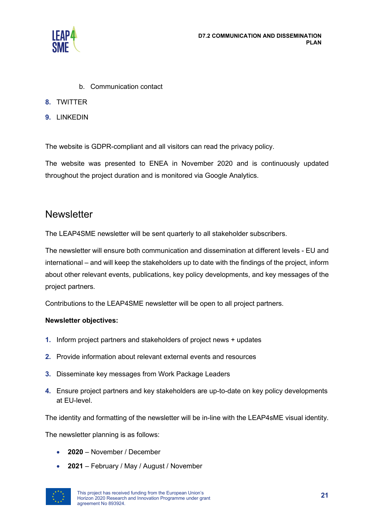

- b. Communication contact
- **8.** TWITTER
- **9.** LINKEDIN

The website is GDPR-compliant and all visitors can read the privacy policy.

The website was presented to ENEA in November 2020 and is continuously updated throughout the project duration and is monitored via Google Analytics.

#### <span id="page-21-0"></span>**Newsletter**

The LEAP4SME newsletter will be sent quarterly to all stakeholder subscribers.

The newsletter will ensure both communication and dissemination at different levels - EU and international – and will keep the stakeholders up to date with the findings of the project, inform about other relevant events, publications, key policy developments, and key messages of the project partners.

Contributions to the LEAP4SME newsletter will be open to all project partners.

#### **Newsletter objectives:**

- **1.** Inform project partners and stakeholders of project news + updates
- **2.** Provide information about relevant external events and resources
- **3.** Disseminate key messages from Work Package Leaders
- **4.** Ensure project partners and key stakeholders are up-to-date on key policy developments at EU-level.

The identity and formatting of the newsletter will be in-line with the LEAP4sME visual identity.

The newsletter planning is as follows:

- **2020** November / December
- **2021** February / May / August / November

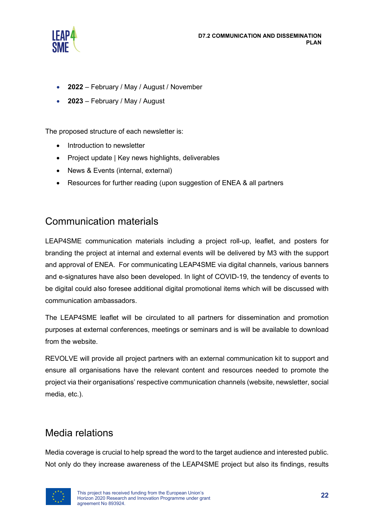

- **2022** February / May / August / November
- **2023** February / May / August

The proposed structure of each newsletter is:

- Introduction to newsletter
- Project update | Key news highlights, deliverables
- News & Events (internal, external)
- Resources for further reading (upon suggestion of ENEA & all partners

### <span id="page-22-0"></span>Communication materials

LEAP4SME communication materials including a project roll-up, leaflet, and posters for branding the project at internal and external events will be delivered by M3 with the support and approval of ENEA. For communicating LEAP4SME via digital channels, various banners and e-signatures have also been developed. In light of COVID-19, the tendency of events to be digital could also foresee additional digital promotional items which will be discussed with communication ambassadors.

The LEAP4SME leaflet will be circulated to all partners for dissemination and promotion purposes at external conferences, meetings or seminars and is will be available to download from the website.

REVOLVE will provide all project partners with an external communication kit to support and ensure all organisations have the relevant content and resources needed to promote the project via their organisations' respective communication channels (website, newsletter, social media, etc.).

### <span id="page-22-1"></span>Media relations

Media coverage is crucial to help spread the word to the target audience and interested public. Not only do they increase awareness of the LEAP4SME project but also its findings, results

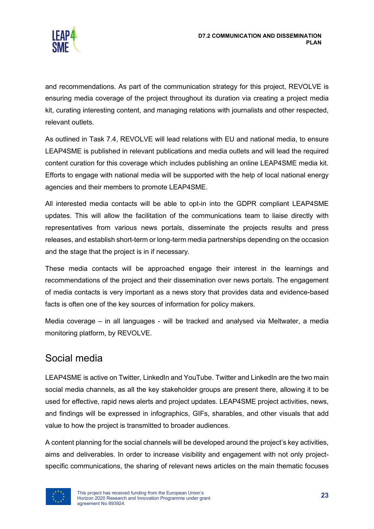

and recommendations. As part of the communication strategy for this project, REVOLVE is ensuring media coverage of the project throughout its duration via creating a project media kit, curating interesting content, and managing relations with journalists and other respected, relevant outlets.

As outlined in Task 7.4, REVOLVE will lead relations with EU and national media, to ensure LEAP4SME is published in relevant publications and media outlets and will lead the required content curation for this coverage which includes publishing an online LEAP4SME media kit. Efforts to engage with national media will be supported with the help of local national energy agencies and their members to promote LEAP4SME.

All interested media contacts will be able to opt-in into the GDPR compliant LEAP4SME updates. This will allow the facilitation of the communications team to liaise directly with representatives from various news portals, disseminate the projects results and press releases, and establish short-term or long-term media partnerships depending on the occasion and the stage that the project is in if necessary.

These media contacts will be approached engage their interest in the learnings and recommendations of the project and their dissemination over news portals. The engagement of media contacts is very important as a news story that provides data and evidence-based facts is often one of the key sources of information for policy makers.

Media coverage – in all languages - will be tracked and analysed via Meltwater, a media monitoring platform, by REVOLVE.

## <span id="page-23-0"></span>Social media

LEAP4SME is active on Twitter, LinkedIn and YouTube. Twitter and LinkedIn are the two main social media channels, as all the key stakeholder groups are present there, allowing it to be used for effective, rapid news alerts and project updates. LEAP4SME project activities, news, and findings will be expressed in infographics, GIFs, sharables, and other visuals that add value to how the project is transmitted to broader audiences.

A content planning for the social channels will be developed around the project's key activities, aims and deliverables. In order to increase visibility and engagement with not only projectspecific communications, the sharing of relevant news articles on the main thematic focuses

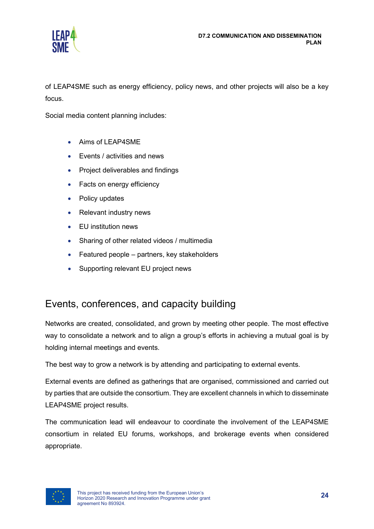

of LEAP4SME such as energy efficiency, policy news, and other projects will also be a key focus.

Social media content planning includes:

- Aims of LEAP4SME
- Events / activities and news
- Project deliverables and findings
- Facts on energy efficiency
- Policy updates
- Relevant industry news
- EU institution news
- Sharing of other related videos / multimedia
- Featured people partners, key stakeholders
- Supporting relevant EU project news

## <span id="page-24-0"></span>Events, conferences, and capacity building

Networks are created, consolidated, and grown by meeting other people. The most effective way to consolidate a network and to align a group's efforts in achieving a mutual goal is by holding internal meetings and events.

The best way to grow a network is by attending and participating to external events.

External events are defined as gatherings that are organised, commissioned and carried out by parties that are outside the consortium. They are excellent channels in which to disseminate LEAP4SME project results.

The communication lead will endeavour to coordinate the involvement of the LEAP4SME consortium in related EU forums, workshops, and brokerage events when considered appropriate.

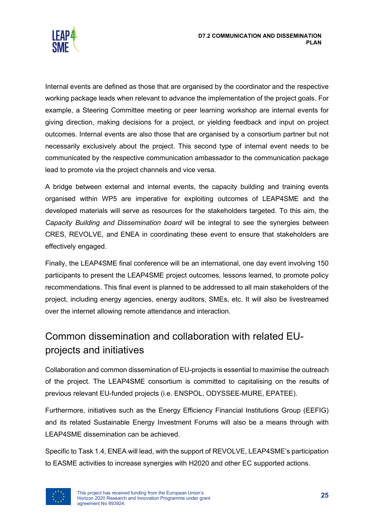

Internal events are defined as those that are organised by the coordinator and the respective working package leads when relevant to advance the implementation of the project goals. For example, a Steering Committee meeting or peer learning workshop are internal events for giving direction, making decisions for a project, or yielding feedback and input on project outcomes. Internal events are also those that are organised by a consortium partner but not necessarily exclusively about the project. This second type of internal event needs to be communicated by the respective communication ambassador to the communication package lead to promote via the project channels and vice versa.

A bridge between external and internal events, the capacity building and training events organised within WP5 are imperative for exploiting outcomes of LEAP4SME and the developed materials will serve as resources for the stakeholders targeted. To this aim, the *Capacity Building and Dissemination board* will be integral to see the synergies between CRES, REVOLVE, and ENEA in coordinating these event to ensure that stakeholders are effectively engaged.

Finally, the LEAP4SME final conference will be an international, one day event involving 150 participants to present the LEAP4SME project outcomes, lessons learned, to promote policy recommendations. This final event is planned to be addressed to all main stakeholders of the project, including energy agencies, energy auditors, SMEs, etc. It will also be livestreamed over the internet allowing remote attendance and interaction.

## <span id="page-25-0"></span>Common dissemination and collaboration with related EUprojects and initiatives

Collaboration and common dissemination of EU-projects is essential to maximise the outreach of the project. The LEAP4SME consortium is committed to capitalising on the results of previous relevant EU-funded projects (i.e. ENSPOL, ODYSSEE-MURE, EPATEE).

Furthermore, initiatives such as the Energy Efficiency Financial Institutions Group (EEFIG) and its related Sustainable Energy Investment Forums will also be a means through with LEAP4SME dissemination can be achieved.

Specific to Task 1.4, ENEA will lead, with the support of REVOLVE, LEAP4SME's participation to EASME activities to increase synergies with H2020 and other EC supported actions.

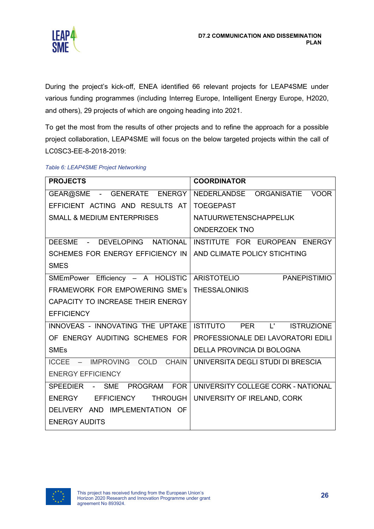

During the project's kick-off, ENEA identified 66 relevant projects for LEAP4SME under various funding programmes (including Interreg Europe, Intelligent Energy Europe, H2020, and others), 29 projects of which are ongoing heading into 2021.

To get the most from the results of other projects and to refine the approach for a possible project collaboration, LEAP4SME will focus on the below targeted projects within the call of LC0SC3-EE-8-2018-2019:

| <b>PROJECTS</b>                        | <b>COORDINATOR</b>                   |
|----------------------------------------|--------------------------------------|
| GEAR@SME - GENERATE ENERGY             | NEDERLANDSE ORGANISATIE VOOR         |
| EFFICIENT ACTING AND RESULTS AT        | <b>TOEGEPAST</b>                     |
| <b>SMALL &amp; MEDIUM ENTERPRISES</b>  | <b>NATUURWETENSCHAPPELIJK</b>        |
|                                        | <b>ONDERZOEK TNO</b>                 |
| DEESME - DEVELOPING NATIONAL           | INSTITUTE FOR EUROPEAN ENERGY        |
| SCHEMES FOR ENERGY EFFICIENCY IN       | AND CLIMATE POLICY STICHTING         |
| <b>SMES</b>                            |                                      |
| SMEmPower Efficiency - A HOLISTIC      | ARISTOTELIO<br><b>PANEPISTIMIO</b>   |
| <b>FRAMEWORK FOR EMPOWERING SME's</b>  | <b>THESSALONIKIS</b>                 |
| CAPACITY TO INCREASE THEIR ENERGY      |                                      |
| <b>EFFICIENCY</b>                      |                                      |
| INNOVEAS - INNOVATING THE UPTAKE       | ISTITUTO PER L'<br><b>ISTRUZIONE</b> |
| OF ENERGY AUDITING SCHEMES FOR         | PROFESSIONALE DEI LAVORATORI EDILI   |
| <b>SMEs</b>                            | <b>DELLA PROVINCIA DI BOLOGNA</b>    |
| ICCEE - IMPROVING COLD<br><b>CHAIN</b> | UNIVERSITA DEGLI STUDI DI BRESCIA    |
| <b>ENERGY EFFICIENCY</b>               |                                      |
| PROGRAM FOR<br>SPEEDIER - SME          | UNIVERSITY COLLEGE CORK - NATIONAL   |
| ENERGY EFFICIENCY<br><b>THROUGH</b>    | UNIVERSITY OF IRELAND, CORK          |
| DELIVERY AND IMPLEMENTATION OF         |                                      |
| <b>ENERGY AUDITS</b>                   |                                      |

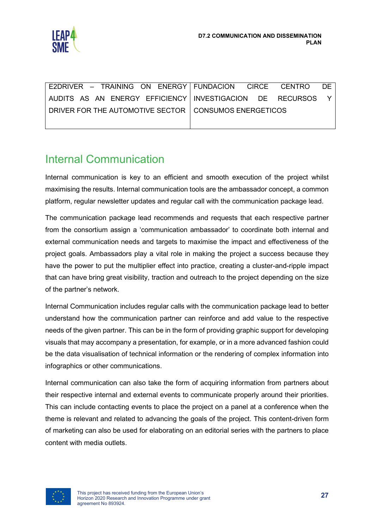

| E2DRIVER - TRAINING ON ENERGY FUNDACION CIRCE CENTRO    | DE.                                                          |
|---------------------------------------------------------|--------------------------------------------------------------|
|                                                         | AUDITS AS AN ENERGY EFFICIENCY   INVESTIGACION DE RECURSOS Y |
| DRIVER FOR THE AUTOMOTIVE SECTOR   CONSUMOS ENERGETICOS |                                                              |
|                                                         |                                                              |

## <span id="page-27-0"></span>Internal Communication

Internal communication is key to an efficient and smooth execution of the project whilst maximising the results. Internal communication tools are the ambassador concept, a common platform, regular newsletter updates and regular call with the communication package lead.

The communication package lead recommends and requests that each respective partner from the consortium assign a 'communication ambassador' to coordinate both internal and external communication needs and targets to maximise the impact and effectiveness of the project goals. Ambassadors play a vital role in making the project a success because they have the power to put the multiplier effect into practice, creating a cluster-and-ripple impact that can have bring great visibility, traction and outreach to the project depending on the size of the partner's network.

Internal Communication includes regular calls with the communication package lead to better understand how the communication partner can reinforce and add value to the respective needs of the given partner. This can be in the form of providing graphic support for developing visuals that may accompany a presentation, for example, or in a more advanced fashion could be the data visualisation of technical information or the rendering of complex information into infographics or other communications.

Internal communication can also take the form of acquiring information from partners about their respective internal and external events to communicate properly around their priorities. This can include contacting events to place the project on a panel at a conference when the theme is relevant and related to advancing the goals of the project. This content-driven form of marketing can also be used for elaborating on an editorial series with the partners to place content with media outlets.

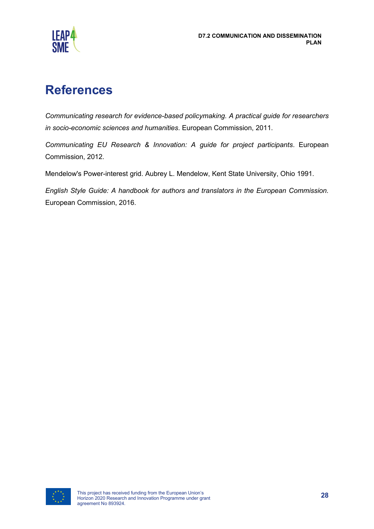

# <span id="page-28-0"></span>**References**

*Communicating research for evidence-based policymaking. A practical guide for researchers in socio-economic sciences and humanities*. European Commission, 2011.

*Communicating EU Research & Innovation: A guide for project participants*. European Commission, 2012.

Mendelow's Power-interest grid. Aubrey L. Mendelow, Kent State University, Ohio 1991.

*English Style Guide: A handbook for authors and translators in the European Commission.*  European Commission, 2016.

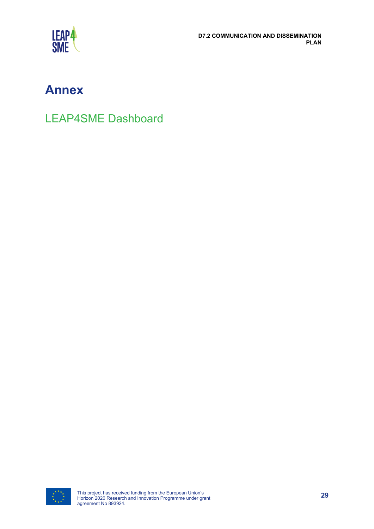

**D7.2 COMMUNICATION AND DISSEMINATION PLAN**

# <span id="page-29-0"></span>**Annex**

LEAP4SME Dashboard